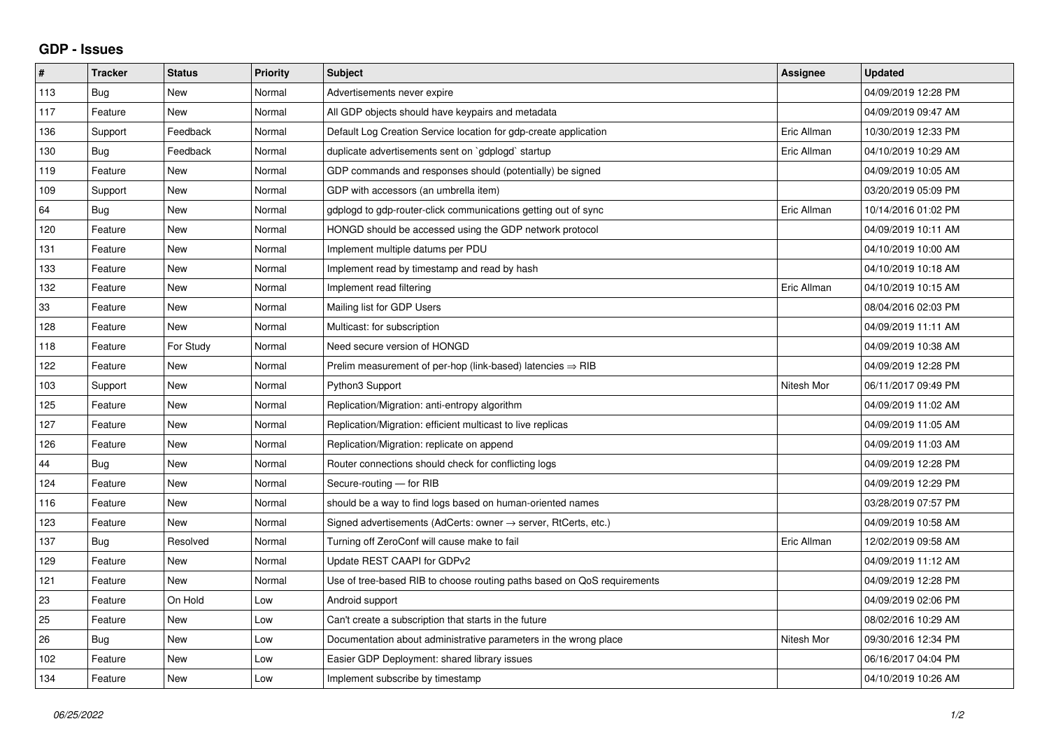## **GDP - Issues**

| #   | <b>Tracker</b> | <b>Status</b> | Priority | <b>Subject</b>                                                             | Assignee    | <b>Updated</b>      |
|-----|----------------|---------------|----------|----------------------------------------------------------------------------|-------------|---------------------|
| 113 | Bug            | <b>New</b>    | Normal   | Advertisements never expire                                                |             | 04/09/2019 12:28 PM |
| 117 | Feature        | <b>New</b>    | Normal   | All GDP objects should have keypairs and metadata                          |             | 04/09/2019 09:47 AM |
| 136 | Support        | Feedback      | Normal   | Default Log Creation Service location for gdp-create application           | Eric Allman | 10/30/2019 12:33 PM |
| 130 | Bug            | Feedback      | Normal   | duplicate advertisements sent on `gdplogd` startup                         | Eric Allman | 04/10/2019 10:29 AM |
| 119 | Feature        | <b>New</b>    | Normal   | GDP commands and responses should (potentially) be signed                  |             | 04/09/2019 10:05 AM |
| 109 | Support        | <b>New</b>    | Normal   | GDP with accessors (an umbrella item)                                      |             | 03/20/2019 05:09 PM |
| 64  | Bug            | <b>New</b>    | Normal   | gdplogd to gdp-router-click communications getting out of sync             | Eric Allman | 10/14/2016 01:02 PM |
| 120 | Feature        | <b>New</b>    | Normal   | HONGD should be accessed using the GDP network protocol                    |             | 04/09/2019 10:11 AM |
| 131 | Feature        | <b>New</b>    | Normal   | Implement multiple datums per PDU                                          |             | 04/10/2019 10:00 AM |
| 133 | Feature        | <b>New</b>    | Normal   | Implement read by timestamp and read by hash                               |             | 04/10/2019 10:18 AM |
| 132 | Feature        | <b>New</b>    | Normal   | Implement read filtering                                                   | Eric Allman | 04/10/2019 10:15 AM |
| 33  | Feature        | <b>New</b>    | Normal   | Mailing list for GDP Users                                                 |             | 08/04/2016 02:03 PM |
| 128 | Feature        | <b>New</b>    | Normal   | Multicast: for subscription                                                |             | 04/09/2019 11:11 AM |
| 118 | Feature        | For Study     | Normal   | Need secure version of HONGD                                               |             | 04/09/2019 10:38 AM |
| 122 | Feature        | <b>New</b>    | Normal   | Prelim measurement of per-hop (link-based) latencies $\Rightarrow$ RIB     |             | 04/09/2019 12:28 PM |
| 103 | Support        | <b>New</b>    | Normal   | Python3 Support                                                            | Nitesh Mor  | 06/11/2017 09:49 PM |
| 125 | Feature        | <b>New</b>    | Normal   | Replication/Migration: anti-entropy algorithm                              |             | 04/09/2019 11:02 AM |
| 127 | Feature        | New           | Normal   | Replication/Migration: efficient multicast to live replicas                |             | 04/09/2019 11:05 AM |
| 126 | Feature        | <b>New</b>    | Normal   | Replication/Migration: replicate on append                                 |             | 04/09/2019 11:03 AM |
| 44  | Bug            | <b>New</b>    | Normal   | Router connections should check for conflicting logs                       |             | 04/09/2019 12:28 PM |
| 124 | Feature        | <b>New</b>    | Normal   | Secure-routing - for RIB                                                   |             | 04/09/2019 12:29 PM |
| 116 | Feature        | <b>New</b>    | Normal   | should be a way to find logs based on human-oriented names                 |             | 03/28/2019 07:57 PM |
| 123 | Feature        | <b>New</b>    | Normal   | Signed advertisements (AdCerts: owner $\rightarrow$ server, RtCerts, etc.) |             | 04/09/2019 10:58 AM |
| 137 | Bug            | Resolved      | Normal   | Turning off ZeroConf will cause make to fail                               | Eric Allman | 12/02/2019 09:58 AM |
| 129 | Feature        | <b>New</b>    | Normal   | Update REST CAAPI for GDPv2                                                |             | 04/09/2019 11:12 AM |
| 121 | Feature        | <b>New</b>    | Normal   | Use of tree-based RIB to choose routing paths based on QoS requirements    |             | 04/09/2019 12:28 PM |
| 23  | Feature        | On Hold       | Low      | Android support                                                            |             | 04/09/2019 02:06 PM |
| 25  | Feature        | <b>New</b>    | Low      | Can't create a subscription that starts in the future                      |             | 08/02/2016 10:29 AM |
| 26  | <b>Bug</b>     | <b>New</b>    | Low      | Documentation about administrative parameters in the wrong place           | Nitesh Mor  | 09/30/2016 12:34 PM |
| 102 | Feature        | <b>New</b>    | Low      | Easier GDP Deployment: shared library issues                               |             | 06/16/2017 04:04 PM |
| 134 | Feature        | <b>New</b>    | Low      | Implement subscribe by timestamp                                           |             | 04/10/2019 10:26 AM |